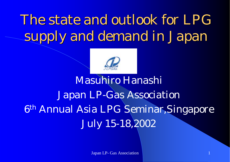# The state and outlook for LPG supply and demand in Japan



#### Masuhiro Hanashi Japan LP-Gas Association 6t<sup>h</sup> Annual Asia LPG Seminar,Singapore July 15-18,2002

Japan LP- Gas Association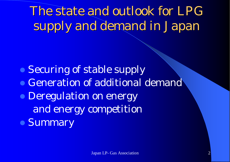The state and outlook for LPG supply and demand in Japan

• Securing of stable supply • Generation of additional demand • Deregulation on energy and energy competition • Summary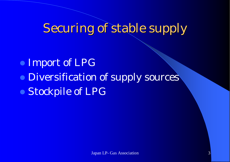### Securing of stable supply

**• Import of LPG • Diversification of supply sources** • Stockpile of LPG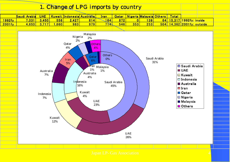#### 1. Change of LPG imports by country

|           | Saudi Arabia | <b>UAE</b> |        | <u>  Kuwait <mark>Indonesia</mark> Australia  </u> |     | Iran |     |     | <b>Qatar   Nigeria Malaysia Others   \</b> | Total |                            |
|-----------|--------------|------------|--------|----------------------------------------------------|-----|------|-----|-----|--------------------------------------------|-------|----------------------------|
| 1992fy    | 7,031        | 3.450      | 556    | 2.427                                              |     | 164  | 872 |     | 139 I                                      |       | 64 15,317 1992fy: inside   |
| $2001$ fy | 4.653 I      | 3.717      | .660 l | 983                                                | 979 |      | 546 | 353 | 253                                        |       | 504 14,362 2001fy: outside |
|           |              |            |        |                                                    |     |      |     |     |                                            |       |                            |

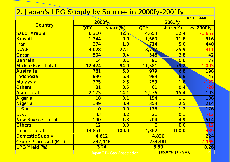#### 2. Japan's LPG Supply by Sources in 2000fy-2001fy

|                                                       |                         |              | <u>UNIT: IUUUT</u> |              |                   |  |  |  |  |  |
|-------------------------------------------------------|-------------------------|--------------|--------------------|--------------|-------------------|--|--|--|--|--|
| <b>Country</b>                                        | <b>2000fy</b>           |              | 2001fy             |              |                   |  |  |  |  |  |
|                                                       | QTY                     | share(%)     | <b>QTY</b>         | share(%)     | <b>vs. 2000fy</b> |  |  |  |  |  |
| Saudi Arabia                                          | 6,310                   | 42.5         | 4,653              | 32.4         | $-1,657$          |  |  |  |  |  |
| Kuwait                                                | 1,344                   | <b>9.0</b>   | 1,660              | <b>11.6</b>  | 316               |  |  |  |  |  |
| <b>Iran</b>                                           | 274                     | <b>1.8</b>   | 714                | 5.0          | 440               |  |  |  |  |  |
| U.A.E.                                                | 4,028                   | 27.1         | 3,717              | 25.9         | $-311$            |  |  |  |  |  |
| Qatar                                                 | 504                     | 3.4          | 546                | 3.8          | 42                |  |  |  |  |  |
| Bahrain                                               | <b>14</b>               | 0.1          | 91                 | 0.6          | 77                |  |  |  |  |  |
| <b>Middle East Total</b>                              | 12,474                  | 84.0         | 11,381             | 79.2         | $-1,093$          |  |  |  |  |  |
| <b>Australia</b>                                      | 781                     | 5.3          | 979                | 6.8          | 198               |  |  |  |  |  |
| Indonesia                                             | 936                     | 6.3          | 983                | 6.8          | 47                |  |  |  |  |  |
| Malaysia                                              | 375                     | 2.5          | 253                | 1.8          | $-122$            |  |  |  |  |  |
| Others                                                | 81                      | 0.5          | 61                 | 0.4          | $-20$             |  |  |  |  |  |
| <b>Asia Total</b>                                     | 2,173                   | <b>14.1</b>  | 2,276              | <b>15.4</b>  | 103               |  |  |  |  |  |
| Algeria                                               | <b>18</b>               | 0.1          | <b>154</b>         | 1.1          | 136               |  |  |  |  |  |
| Nigeria                                               | <b>139</b>              | 0.9          | 353                | 2.5          | 214               |  |  |  |  |  |
| U.S.A.                                                | $\overline{\mathbf{0}}$ | 0.0          | <b>176</b>         | 1.2          | 176               |  |  |  |  |  |
| U.K.                                                  | 33                      | 0.2          | 21                 | 0.1          | $-12$             |  |  |  |  |  |
| <b>New Sources Total</b>                              | <b>190</b>              | 1.3          | 704                | 4.9          | 514               |  |  |  |  |  |
| <b>Others</b>                                         | 12                      | 0.0          | $\overline{0}$     | 0.0          | $-12$             |  |  |  |  |  |
| <b>Import Total</b>                                   | 14,851                  | <b>100.0</b> | 14,362             | <b>100.0</b> | 489               |  |  |  |  |  |
| <b>Domestic Supply</b>                                | 4,612                   |              | 4,836              | 224          |                   |  |  |  |  |  |
| <b>Crude Processed (ML)</b>                           | 242,446                 |              | 234,481            | $-7,965$     |                   |  |  |  |  |  |
| LPG Yield (%)                                         | 3.24                    |              | 3.50               | 0.26         |                   |  |  |  |  |  |
| [source: JLPGA)]<br><b>Ianan I.P.</b> Gas Association |                         |              |                    |              |                   |  |  |  |  |  |

 $\mathbf{u}$ : 1000t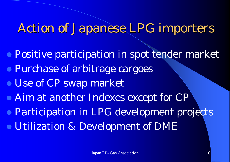#### Action of Japanese LPG importers Action of Japanese LPG importers

**• Positive participation in spot tender market** • Purchase of arbitrage cargoes • Use of CP swap market • Aim at another Indexes except for CP **• Participation in LPG development projects** • Utilization & Development of DME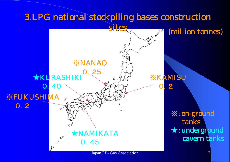

Japan LP- Gas Association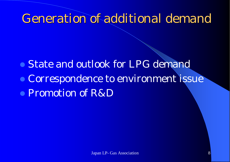#### Generation of additional demand

• State and outlook for LPG demand • Correspondence to environment issue • Promotion of R&D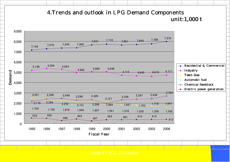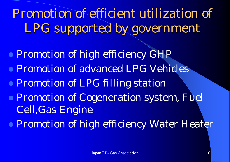Promotion of efficient utilization of LPG supported by government

- Promotion of high efficiency GHP
- Promotion of advanced LPG Vehicles
- **Promotion of LPG filling station**
- Promotion of Cogeneration system, Fuel Cell,Gas Engine
- **Promotion of high efficiency Water Heater**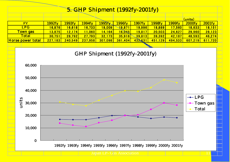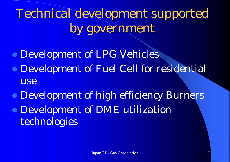Technical development supported Technical development supported by government

- **Development of LPG Vehicles**
- Development of Fuel Cell for residential use
- $\bullet$  Development of high efficiency Burners • Development of DME utilization technologies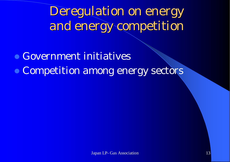### Deregulation on energy and energy competition and energy competition

• Government initiatives • Competition among energy sectors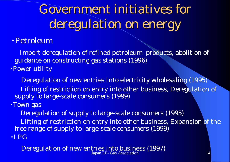## Government initiatives for deregulation on energy

#### ・Petroleum

Import deregulation of refined petroleum products, abolition of guidance on constructing gas stations (1996) ・Power utility

Deregulation of new entries Into electricity wholesaling (1995) Lifting of restriction on entry into other business, Deregulation of supply to large-scale consumers (1999)

・Town gas

Deregulation of supply to large-scale consumers (1995)

Lifting of restriction on entry into other business, Expansion of the free range of supply to large-scale consumers (1999)

・LPG

Japan LP- Gas Association 14 Deregulation of new entries into business (1997)